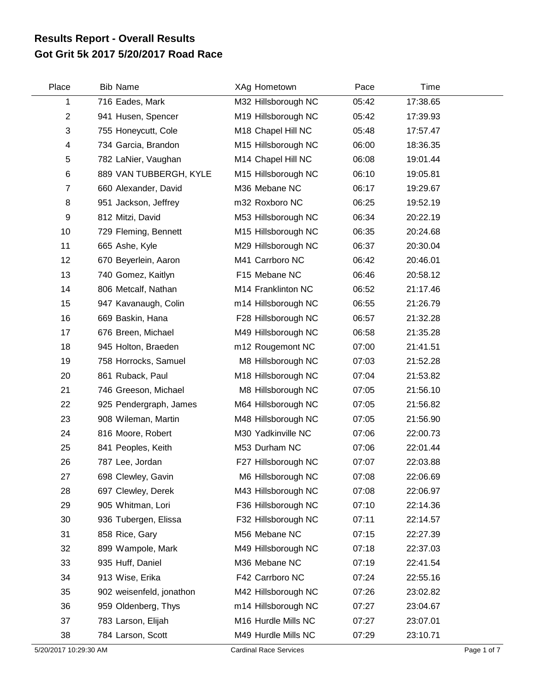## **Got Grit 5k 2017 5/20/2017 Road Race Results Report - Overall Results**

| Place          | <b>Bib Name</b>          | XAg Hometown        | Pace  | Time     |  |
|----------------|--------------------------|---------------------|-------|----------|--|
| 1              | 716 Eades, Mark          | M32 Hillsborough NC | 05:42 | 17:38.65 |  |
| $\mathbf{2}$   | 941 Husen, Spencer       | M19 Hillsborough NC | 05:42 | 17:39.93 |  |
| 3              | 755 Honeycutt, Cole      | M18 Chapel Hill NC  | 05:48 | 17:57.47 |  |
| 4              | 734 Garcia, Brandon      | M15 Hillsborough NC | 06:00 | 18:36.35 |  |
| 5              | 782 LaNier, Vaughan      | M14 Chapel Hill NC  | 06:08 | 19:01.44 |  |
| 6              | 889 VAN TUBBERGH, KYLE   | M15 Hillsborough NC | 06:10 | 19:05.81 |  |
| $\overline{7}$ | 660 Alexander, David     | M36 Mebane NC       | 06:17 | 19:29.67 |  |
| 8              | 951 Jackson, Jeffrey     | m32 Roxboro NC      | 06:25 | 19:52.19 |  |
| 9              | 812 Mitzi, David         | M53 Hillsborough NC | 06:34 | 20:22.19 |  |
| 10             | 729 Fleming, Bennett     | M15 Hillsborough NC | 06:35 | 20:24.68 |  |
| 11             | 665 Ashe, Kyle           | M29 Hillsborough NC | 06:37 | 20:30.04 |  |
| 12             | 670 Beyerlein, Aaron     | M41 Carrboro NC     | 06:42 | 20:46.01 |  |
| 13             | 740 Gomez, Kaitlyn       | F15 Mebane NC       | 06:46 | 20:58.12 |  |
| 14             | 806 Metcalf, Nathan      | M14 Franklinton NC  | 06:52 | 21:17.46 |  |
| 15             | 947 Kavanaugh, Colin     | m14 Hillsborough NC | 06:55 | 21:26.79 |  |
| 16             | 669 Baskin, Hana         | F28 Hillsborough NC | 06:57 | 21:32.28 |  |
| 17             | 676 Breen, Michael       | M49 Hillsborough NC | 06:58 | 21:35.28 |  |
| 18             | 945 Holton, Braeden      | m12 Rougemont NC    | 07:00 | 21:41.51 |  |
| 19             | 758 Horrocks, Samuel     | M8 Hillsborough NC  | 07:03 | 21:52.28 |  |
| 20             | 861 Ruback, Paul         | M18 Hillsborough NC | 07:04 | 21:53.82 |  |
| 21             | 746 Greeson, Michael     | M8 Hillsborough NC  | 07:05 | 21:56.10 |  |
| 22             | 925 Pendergraph, James   | M64 Hillsborough NC | 07:05 | 21:56.82 |  |
| 23             | 908 Wileman, Martin      | M48 Hillsborough NC | 07:05 | 21:56.90 |  |
| 24             | 816 Moore, Robert        | M30 Yadkinville NC  | 07:06 | 22:00.73 |  |
| 25             | 841 Peoples, Keith       | M53 Durham NC       | 07:06 | 22:01.44 |  |
| 26             | 787 Lee, Jordan          | F27 Hillsborough NC | 07:07 | 22:03.88 |  |
| 27             | 698 Clewley, Gavin       | M6 Hillsborough NC  | 07:08 | 22:06.69 |  |
| 28             | 697 Clewley, Derek       | M43 Hillsborough NC | 07:08 | 22:06.97 |  |
| 29             | 905 Whitman, Lori        | F36 Hillsborough NC | 07:10 | 22:14.36 |  |
| 30             | 936 Tubergen, Elissa     | F32 Hillsborough NC | 07:11 | 22:14.57 |  |
| 31             | 858 Rice, Gary           | M56 Mebane NC       | 07:15 | 22:27.39 |  |
| 32             | 899 Wampole, Mark        | M49 Hillsborough NC | 07:18 | 22:37.03 |  |
| 33             | 935 Huff, Daniel         | M36 Mebane NC       | 07:19 | 22:41.54 |  |
| 34             | 913 Wise, Erika          | F42 Carrboro NC     | 07:24 | 22:55.16 |  |
| 35             | 902 weisenfeld, jonathon | M42 Hillsborough NC | 07:26 | 23:02.82 |  |
| 36             | 959 Oldenberg, Thys      | m14 Hillsborough NC | 07:27 | 23:04.67 |  |
| 37             | 783 Larson, Elijah       | M16 Hurdle Mills NC | 07:27 | 23:07.01 |  |
| 38             | 784 Larson, Scott        | M49 Hurdle Mills NC | 07:29 | 23:10.71 |  |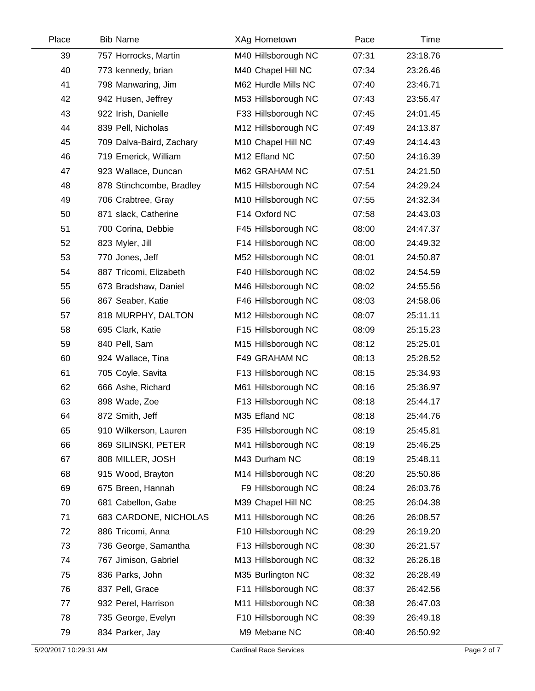| Place | <b>Bib Name</b>          | XAg Hometown        | Pace  | Time     |  |
|-------|--------------------------|---------------------|-------|----------|--|
| 39    | 757 Horrocks, Martin     | M40 Hillsborough NC | 07:31 | 23:18.76 |  |
| 40    | 773 kennedy, brian       | M40 Chapel Hill NC  | 07:34 | 23:26.46 |  |
| 41    | 798 Manwaring, Jim       | M62 Hurdle Mills NC | 07:40 | 23:46.71 |  |
| 42    | 942 Husen, Jeffrey       | M53 Hillsborough NC | 07:43 | 23:56.47 |  |
| 43    | 922 Irish, Danielle      | F33 Hillsborough NC | 07:45 | 24:01.45 |  |
| 44    | 839 Pell, Nicholas       | M12 Hillsborough NC | 07:49 | 24:13.87 |  |
| 45    | 709 Dalva-Baird, Zachary | M10 Chapel Hill NC  | 07:49 | 24:14.43 |  |
| 46    | 719 Emerick, William     | M12 Efland NC       | 07:50 | 24:16.39 |  |
| 47    | 923 Wallace, Duncan      | M62 GRAHAM NC       | 07:51 | 24:21.50 |  |
| 48    | 878 Stinchcombe, Bradley | M15 Hillsborough NC | 07:54 | 24:29.24 |  |
| 49    | 706 Crabtree, Gray       | M10 Hillsborough NC | 07:55 | 24:32.34 |  |
| 50    | 871 slack, Catherine     | F14 Oxford NC       | 07:58 | 24:43.03 |  |
| 51    | 700 Corina, Debbie       | F45 Hillsborough NC | 08:00 | 24:47.37 |  |
| 52    | 823 Myler, Jill          | F14 Hillsborough NC | 08:00 | 24:49.32 |  |
| 53    | 770 Jones, Jeff          | M52 Hillsborough NC | 08:01 | 24:50.87 |  |
| 54    | 887 Tricomi, Elizabeth   | F40 Hillsborough NC | 08:02 | 24:54.59 |  |
| 55    | 673 Bradshaw, Daniel     | M46 Hillsborough NC | 08:02 | 24:55.56 |  |
| 56    | 867 Seaber, Katie        | F46 Hillsborough NC | 08:03 | 24:58.06 |  |
| 57    | 818 MURPHY, DALTON       | M12 Hillsborough NC | 08:07 | 25:11.11 |  |
| 58    | 695 Clark, Katie         | F15 Hillsborough NC | 08:09 | 25:15.23 |  |
| 59    | 840 Pell, Sam            | M15 Hillsborough NC | 08:12 | 25:25.01 |  |
| 60    | 924 Wallace, Tina        | F49 GRAHAM NC       | 08:13 | 25:28.52 |  |
| 61    | 705 Coyle, Savita        | F13 Hillsborough NC | 08:15 | 25:34.93 |  |
| 62    | 666 Ashe, Richard        | M61 Hillsborough NC | 08:16 | 25:36.97 |  |
| 63    | 898 Wade, Zoe            | F13 Hillsborough NC | 08:18 | 25:44.17 |  |
| 64    | 872 Smith, Jeff          | M35 Efland NC       | 08:18 | 25:44.76 |  |
| 65    | 910 Wilkerson, Lauren    | F35 Hillsborough NC | 08:19 | 25:45.81 |  |
| 66    | 869 SILINSKI, PETER      | M41 Hillsborough NC | 08:19 | 25:46.25 |  |
| 67    | 808 MILLER, JOSH         | M43 Durham NC       | 08:19 | 25:48.11 |  |
| 68    | 915 Wood, Brayton        | M14 Hillsborough NC | 08:20 | 25:50.86 |  |
| 69    | 675 Breen, Hannah        | F9 Hillsborough NC  | 08:24 | 26:03.76 |  |
| 70    | 681 Cabellon, Gabe       | M39 Chapel Hill NC  | 08:25 | 26:04.38 |  |
| 71    | 683 CARDONE, NICHOLAS    | M11 Hillsborough NC | 08:26 | 26:08.57 |  |
| 72    | 886 Tricomi, Anna        | F10 Hillsborough NC | 08:29 | 26:19.20 |  |
| 73    | 736 George, Samantha     | F13 Hillsborough NC | 08:30 | 26:21.57 |  |
| 74    | 767 Jimison, Gabriel     | M13 Hillsborough NC | 08:32 | 26:26.18 |  |
| 75    | 836 Parks, John          | M35 Burlington NC   | 08:32 | 26:28.49 |  |
| 76    | 837 Pell, Grace          | F11 Hillsborough NC | 08:37 | 26:42.56 |  |
| 77    | 932 Perel, Harrison      | M11 Hillsborough NC | 08:38 | 26:47.03 |  |
| 78    | 735 George, Evelyn       | F10 Hillsborough NC | 08:39 | 26:49.18 |  |
| 79    | 834 Parker, Jay          | M9 Mebane NC        | 08:40 | 26:50.92 |  |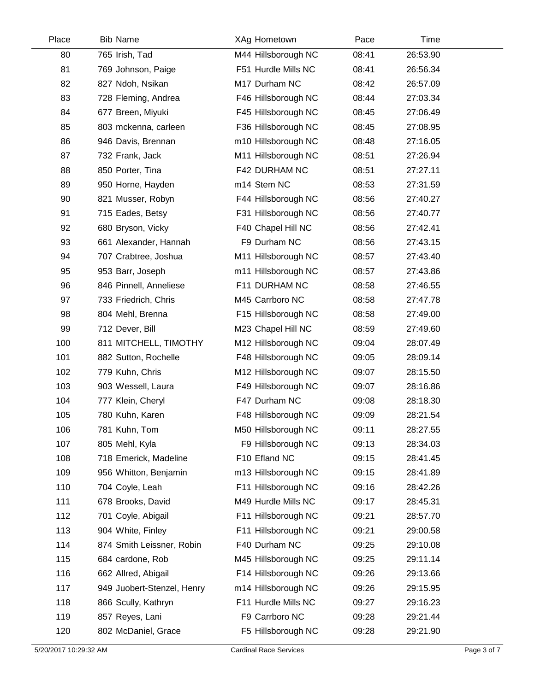| Place | <b>Bib Name</b>            | XAg Hometown        | Pace  | Time     |  |
|-------|----------------------------|---------------------|-------|----------|--|
| 80    | 765 Irish, Tad             | M44 Hillsborough NC | 08:41 | 26:53.90 |  |
| 81    | 769 Johnson, Paige         | F51 Hurdle Mills NC | 08:41 | 26:56.34 |  |
| 82    | 827 Ndoh, Nsikan           | M17 Durham NC       | 08:42 | 26:57.09 |  |
| 83    | 728 Fleming, Andrea        | F46 Hillsborough NC | 08:44 | 27:03.34 |  |
| 84    | 677 Breen, Miyuki          | F45 Hillsborough NC | 08:45 | 27:06.49 |  |
| 85    | 803 mckenna, carleen       | F36 Hillsborough NC | 08:45 | 27:08.95 |  |
| 86    | 946 Davis, Brennan         | m10 Hillsborough NC | 08:48 | 27:16.05 |  |
| 87    | 732 Frank, Jack            | M11 Hillsborough NC | 08:51 | 27:26.94 |  |
| 88    | 850 Porter, Tina           | F42 DURHAM NC       | 08:51 | 27:27.11 |  |
| 89    | 950 Horne, Hayden          | m14 Stem NC         | 08:53 | 27:31.59 |  |
| 90    | 821 Musser, Robyn          | F44 Hillsborough NC | 08:56 | 27:40.27 |  |
| 91    | 715 Eades, Betsy           | F31 Hillsborough NC | 08:56 | 27:40.77 |  |
| 92    | 680 Bryson, Vicky          | F40 Chapel Hill NC  | 08:56 | 27:42.41 |  |
| 93    | 661 Alexander, Hannah      | F9 Durham NC        | 08:56 | 27:43.15 |  |
| 94    | 707 Crabtree, Joshua       | M11 Hillsborough NC | 08:57 | 27:43.40 |  |
| 95    | 953 Barr, Joseph           | m11 Hillsborough NC | 08:57 | 27:43.86 |  |
| 96    | 846 Pinnell, Anneliese     | F11 DURHAM NC       | 08:58 | 27:46.55 |  |
| 97    | 733 Friedrich, Chris       | M45 Carrboro NC     | 08:58 | 27:47.78 |  |
| 98    | 804 Mehl, Brenna           | F15 Hillsborough NC | 08:58 | 27:49.00 |  |
| 99    | 712 Dever, Bill            | M23 Chapel Hill NC  | 08:59 | 27:49.60 |  |
| 100   | 811 MITCHELL, TIMOTHY      | M12 Hillsborough NC | 09:04 | 28:07.49 |  |
| 101   | 882 Sutton, Rochelle       | F48 Hillsborough NC | 09:05 | 28:09.14 |  |
| 102   | 779 Kuhn, Chris            | M12 Hillsborough NC | 09:07 | 28:15.50 |  |
| 103   | 903 Wessell, Laura         | F49 Hillsborough NC | 09:07 | 28:16.86 |  |
| 104   | 777 Klein, Cheryl          | F47 Durham NC       | 09:08 | 28:18.30 |  |
| 105   | 780 Kuhn, Karen            | F48 Hillsborough NC | 09:09 | 28:21.54 |  |
| 106   | 781 Kuhn, Tom              | M50 Hillsborough NC | 09:11 | 28:27.55 |  |
| 107   | 805 Mehl, Kyla             | F9 Hillsborough NC  | 09:13 | 28:34.03 |  |
| 108   | 718 Emerick, Madeline      | F10 Efland NC       | 09:15 | 28:41.45 |  |
| 109   | 956 Whitton, Benjamin      | m13 Hillsborough NC | 09:15 | 28:41.89 |  |
| 110   | 704 Coyle, Leah            | F11 Hillsborough NC | 09:16 | 28:42.26 |  |
| 111   | 678 Brooks, David          | M49 Hurdle Mills NC | 09:17 | 28:45.31 |  |
| 112   | 701 Coyle, Abigail         | F11 Hillsborough NC | 09:21 | 28:57.70 |  |
| 113   | 904 White, Finley          | F11 Hillsborough NC | 09:21 | 29:00.58 |  |
| 114   | 874 Smith Leissner, Robin  | F40 Durham NC       | 09:25 | 29:10.08 |  |
| 115   | 684 cardone, Rob           | M45 Hillsborough NC | 09:25 | 29:11.14 |  |
| 116   | 662 Allred, Abigail        | F14 Hillsborough NC | 09:26 | 29:13.66 |  |
| 117   | 949 Juobert-Stenzel, Henry | m14 Hillsborough NC | 09:26 | 29:15.95 |  |
| 118   | 866 Scully, Kathryn        | F11 Hurdle Mills NC | 09:27 | 29:16.23 |  |
| 119   | 857 Reyes, Lani            | F9 Carrboro NC      | 09:28 | 29:21.44 |  |
| 120   | 802 McDaniel, Grace        | F5 Hillsborough NC  | 09:28 | 29:21.90 |  |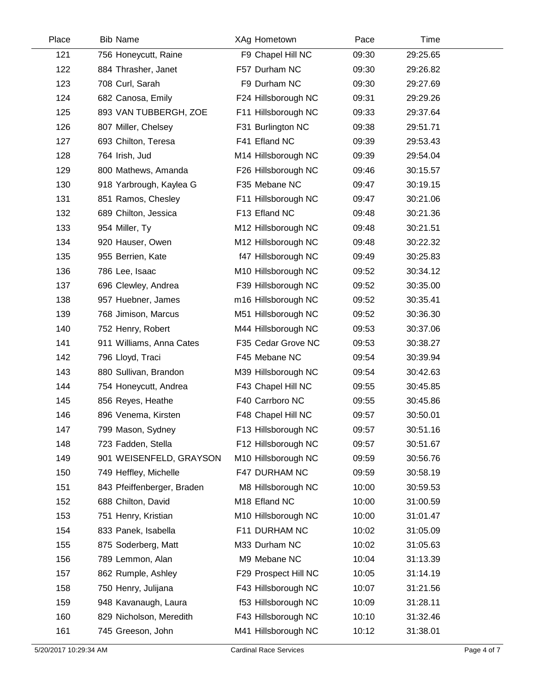| Place | <b>Bib Name</b>            | XAg Hometown         | Pace  | Time     |  |
|-------|----------------------------|----------------------|-------|----------|--|
| 121   | 756 Honeycutt, Raine       | F9 Chapel Hill NC    | 09:30 | 29:25.65 |  |
| 122   | 884 Thrasher, Janet        | F57 Durham NC        | 09:30 | 29:26.82 |  |
| 123   | 708 Curl, Sarah            | F9 Durham NC         | 09:30 | 29:27.69 |  |
| 124   | 682 Canosa, Emily          | F24 Hillsborough NC  | 09:31 | 29:29.26 |  |
| 125   | 893 VAN TUBBERGH, ZOE      | F11 Hillsborough NC  | 09:33 | 29:37.64 |  |
| 126   | 807 Miller, Chelsey        | F31 Burlington NC    | 09:38 | 29:51.71 |  |
| 127   | 693 Chilton, Teresa        | F41 Efland NC        | 09:39 | 29:53.43 |  |
| 128   | 764 Irish, Jud             | M14 Hillsborough NC  | 09:39 | 29:54.04 |  |
| 129   | 800 Mathews, Amanda        | F26 Hillsborough NC  | 09:46 | 30:15.57 |  |
| 130   | 918 Yarbrough, Kaylea G    | F35 Mebane NC        | 09:47 | 30:19.15 |  |
| 131   | 851 Ramos, Chesley         | F11 Hillsborough NC  | 09:47 | 30:21.06 |  |
| 132   | 689 Chilton, Jessica       | F13 Efland NC        | 09:48 | 30:21.36 |  |
| 133   | 954 Miller, Ty             | M12 Hillsborough NC  | 09:48 | 30:21.51 |  |
| 134   | 920 Hauser, Owen           | M12 Hillsborough NC  | 09:48 | 30:22.32 |  |
| 135   | 955 Berrien, Kate          | f47 Hillsborough NC  | 09:49 | 30:25.83 |  |
| 136   | 786 Lee, Isaac             | M10 Hillsborough NC  | 09:52 | 30:34.12 |  |
| 137   | 696 Clewley, Andrea        | F39 Hillsborough NC  | 09:52 | 30:35.00 |  |
| 138   | 957 Huebner, James         | m16 Hillsborough NC  | 09:52 | 30:35.41 |  |
| 139   | 768 Jimison, Marcus        | M51 Hillsborough NC  | 09:52 | 30:36.30 |  |
| 140   | 752 Henry, Robert          | M44 Hillsborough NC  | 09:53 | 30:37.06 |  |
| 141   | 911 Williams, Anna Cates   | F35 Cedar Grove NC   | 09:53 | 30:38.27 |  |
| 142   | 796 Lloyd, Traci           | F45 Mebane NC        | 09:54 | 30:39.94 |  |
| 143   | 880 Sullivan, Brandon      | M39 Hillsborough NC  | 09:54 | 30:42.63 |  |
| 144   | 754 Honeycutt, Andrea      | F43 Chapel Hill NC   | 09:55 | 30:45.85 |  |
| 145   | 856 Reyes, Heathe          | F40 Carrboro NC      | 09:55 | 30:45.86 |  |
| 146   | 896 Venema, Kirsten        | F48 Chapel Hill NC   | 09:57 | 30:50.01 |  |
| 147   | 799 Mason, Sydney          | F13 Hillsborough NC  | 09:57 | 30:51.16 |  |
| 148   | 723 Fadden, Stella         | F12 Hillsborough NC  | 09:57 | 30:51.67 |  |
| 149   | 901 WEISENFELD, GRAYSON    | M10 Hillsborough NC  | 09:59 | 30:56.76 |  |
| 150   | 749 Heffley, Michelle      | F47 DURHAM NC        | 09:59 | 30:58.19 |  |
| 151   | 843 Pfeiffenberger, Braden | M8 Hillsborough NC   | 10:00 | 30:59.53 |  |
| 152   | 688 Chilton, David         | M18 Efland NC        | 10:00 | 31:00.59 |  |
| 153   | 751 Henry, Kristian        | M10 Hillsborough NC  | 10:00 | 31:01.47 |  |
| 154   | 833 Panek, Isabella        | F11 DURHAM NC        | 10:02 | 31:05.09 |  |
| 155   | 875 Soderberg, Matt        | M33 Durham NC        | 10:02 | 31:05.63 |  |
| 156   | 789 Lemmon, Alan           | M9 Mebane NC         | 10:04 | 31:13.39 |  |
| 157   | 862 Rumple, Ashley         | F29 Prospect Hill NC | 10:05 | 31:14.19 |  |
| 158   | 750 Henry, Julijana        | F43 Hillsborough NC  | 10:07 | 31:21.56 |  |
| 159   | 948 Kavanaugh, Laura       | f53 Hillsborough NC  | 10:09 | 31:28.11 |  |
| 160   | 829 Nicholson, Meredith    | F43 Hillsborough NC  | 10:10 | 31:32.46 |  |
| 161   | 745 Greeson, John          | M41 Hillsborough NC  | 10:12 | 31:38.01 |  |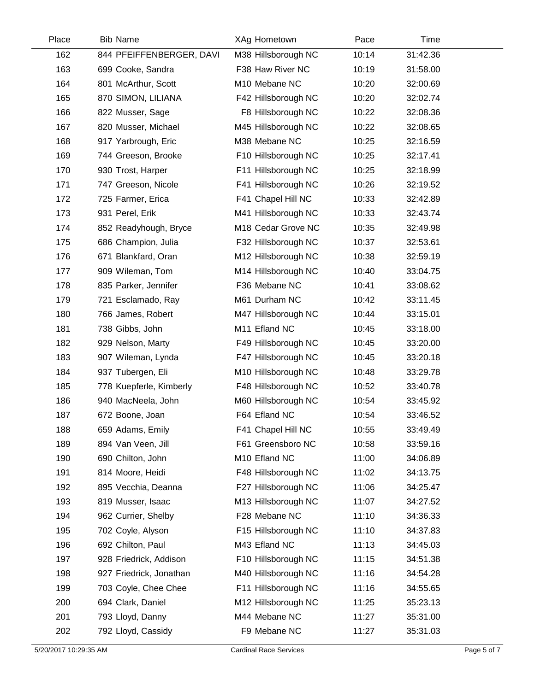| Place | <b>Bib Name</b>          | XAg Hometown        | Pace  | Time     |  |
|-------|--------------------------|---------------------|-------|----------|--|
| 162   | 844 PFEIFFENBERGER, DAVI | M38 Hillsborough NC | 10:14 | 31:42.36 |  |
| 163   | 699 Cooke, Sandra        | F38 Haw River NC    | 10:19 | 31:58.00 |  |
| 164   | 801 McArthur, Scott      | M10 Mebane NC       | 10:20 | 32:00.69 |  |
| 165   | 870 SIMON, LILIANA       | F42 Hillsborough NC | 10:20 | 32:02.74 |  |
| 166   | 822 Musser, Sage         | F8 Hillsborough NC  | 10:22 | 32:08.36 |  |
| 167   | 820 Musser, Michael      | M45 Hillsborough NC | 10:22 | 32:08.65 |  |
| 168   | 917 Yarbrough, Eric      | M38 Mebane NC       | 10:25 | 32:16.59 |  |
| 169   | 744 Greeson, Brooke      | F10 Hillsborough NC | 10:25 | 32:17.41 |  |
| 170   | 930 Trost, Harper        | F11 Hillsborough NC | 10:25 | 32:18.99 |  |
| 171   | 747 Greeson, Nicole      | F41 Hillsborough NC | 10:26 | 32:19.52 |  |
| 172   | 725 Farmer, Erica        | F41 Chapel Hill NC  | 10:33 | 32:42.89 |  |
| 173   | 931 Perel, Erik          | M41 Hillsborough NC | 10:33 | 32:43.74 |  |
| 174   | 852 Readyhough, Bryce    | M18 Cedar Grove NC  | 10:35 | 32:49.98 |  |
| 175   | 686 Champion, Julia      | F32 Hillsborough NC | 10:37 | 32:53.61 |  |
| 176   | 671 Blankfard, Oran      | M12 Hillsborough NC | 10:38 | 32:59.19 |  |
| 177   | 909 Wileman, Tom         | M14 Hillsborough NC | 10:40 | 33:04.75 |  |
| 178   | 835 Parker, Jennifer     | F36 Mebane NC       | 10:41 | 33:08.62 |  |
| 179   | 721 Esclamado, Ray       | M61 Durham NC       | 10:42 | 33:11.45 |  |
| 180   | 766 James, Robert        | M47 Hillsborough NC | 10:44 | 33:15.01 |  |
| 181   | 738 Gibbs, John          | M11 Efland NC       | 10:45 | 33:18.00 |  |
| 182   | 929 Nelson, Marty        | F49 Hillsborough NC | 10:45 | 33:20.00 |  |
| 183   | 907 Wileman, Lynda       | F47 Hillsborough NC | 10:45 | 33:20.18 |  |
| 184   | 937 Tubergen, Eli        | M10 Hillsborough NC | 10:48 | 33:29.78 |  |
| 185   | 778 Kuepferle, Kimberly  | F48 Hillsborough NC | 10:52 | 33:40.78 |  |
| 186   | 940 MacNeela, John       | M60 Hillsborough NC | 10:54 | 33:45.92 |  |
| 187   | 672 Boone, Joan          | F64 Efland NC       | 10:54 | 33:46.52 |  |
| 188   | 659 Adams, Emily         | F41 Chapel Hill NC  | 10:55 | 33:49.49 |  |
| 189   | 894 Van Veen, Jill       | F61 Greensboro NC   | 10:58 | 33:59.16 |  |
| 190   | 690 Chilton, John        | M10 Efland NC       | 11:00 | 34:06.89 |  |
| 191   | 814 Moore, Heidi         | F48 Hillsborough NC | 11:02 | 34:13.75 |  |
| 192   | 895 Vecchia, Deanna      | F27 Hillsborough NC | 11:06 | 34:25.47 |  |
| 193   | 819 Musser, Isaac        | M13 Hillsborough NC | 11:07 | 34:27.52 |  |
| 194   | 962 Currier, Shelby      | F28 Mebane NC       | 11:10 | 34:36.33 |  |
| 195   | 702 Coyle, Alyson        | F15 Hillsborough NC | 11:10 | 34:37.83 |  |
| 196   | 692 Chilton, Paul        | M43 Efland NC       | 11:13 | 34:45.03 |  |
| 197   | 928 Friedrick, Addison   | F10 Hillsborough NC | 11:15 | 34:51.38 |  |
| 198   | 927 Friedrick, Jonathan  | M40 Hillsborough NC | 11:16 | 34:54.28 |  |
| 199   | 703 Coyle, Chee Chee     | F11 Hillsborough NC | 11:16 | 34:55.65 |  |
| 200   | 694 Clark, Daniel        | M12 Hillsborough NC | 11:25 | 35:23.13 |  |
| 201   | 793 Lloyd, Danny         | M44 Mebane NC       | 11:27 | 35:31.00 |  |
| 202   | 792 Lloyd, Cassidy       | F9 Mebane NC        | 11:27 | 35:31.03 |  |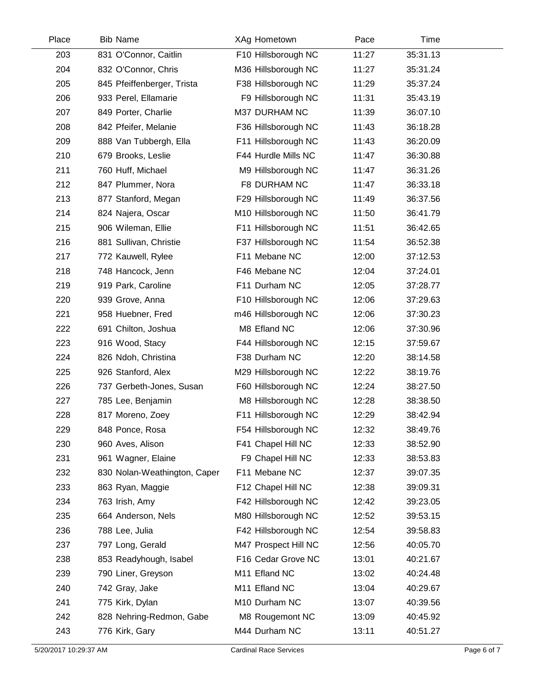| Place | <b>Bib Name</b>              | XAg Hometown         | Pace  | Time     |  |
|-------|------------------------------|----------------------|-------|----------|--|
| 203   | 831 O'Connor, Caitlin        | F10 Hillsborough NC  | 11:27 | 35:31.13 |  |
| 204   | 832 O'Connor, Chris          | M36 Hillsborough NC  | 11:27 | 35:31.24 |  |
| 205   | 845 Pfeiffenberger, Trista   | F38 Hillsborough NC  | 11:29 | 35:37.24 |  |
| 206   | 933 Perel, Ellamarie         | F9 Hillsborough NC   | 11:31 | 35:43.19 |  |
| 207   | 849 Porter, Charlie          | M37 DURHAM NC        | 11:39 | 36:07.10 |  |
| 208   | 842 Pfeifer, Melanie         | F36 Hillsborough NC  | 11:43 | 36:18.28 |  |
| 209   | 888 Van Tubbergh, Ella       | F11 Hillsborough NC  | 11:43 | 36:20.09 |  |
| 210   | 679 Brooks, Leslie           | F44 Hurdle Mills NC  | 11:47 | 36:30.88 |  |
| 211   | 760 Huff, Michael            | M9 Hillsborough NC   | 11:47 | 36:31.26 |  |
| 212   | 847 Plummer, Nora            | F8 DURHAM NC         | 11:47 | 36:33.18 |  |
| 213   | 877 Stanford, Megan          | F29 Hillsborough NC  | 11:49 | 36:37.56 |  |
| 214   | 824 Najera, Oscar            | M10 Hillsborough NC  | 11:50 | 36:41.79 |  |
| 215   | 906 Wileman, Ellie           | F11 Hillsborough NC  | 11:51 | 36:42.65 |  |
| 216   | 881 Sullivan, Christie       | F37 Hillsborough NC  | 11:54 | 36:52.38 |  |
| 217   | 772 Kauwell, Rylee           | F11 Mebane NC        | 12:00 | 37:12.53 |  |
| 218   | 748 Hancock, Jenn            | F46 Mebane NC        | 12:04 | 37:24.01 |  |
| 219   | 919 Park, Caroline           | F11 Durham NC        | 12:05 | 37:28.77 |  |
| 220   | 939 Grove, Anna              | F10 Hillsborough NC  | 12:06 | 37:29.63 |  |
| 221   | 958 Huebner, Fred            | m46 Hillsborough NC  | 12:06 | 37:30.23 |  |
| 222   | 691 Chilton, Joshua          | M8 Efland NC         | 12:06 | 37:30.96 |  |
| 223   | 916 Wood, Stacy              | F44 Hillsborough NC  | 12:15 | 37:59.67 |  |
| 224   | 826 Ndoh, Christina          | F38 Durham NC        | 12:20 | 38:14.58 |  |
| 225   | 926 Stanford, Alex           | M29 Hillsborough NC  | 12:22 | 38:19.76 |  |
| 226   | 737 Gerbeth-Jones, Susan     | F60 Hillsborough NC  | 12:24 | 38:27.50 |  |
| 227   | 785 Lee, Benjamin            | M8 Hillsborough NC   | 12:28 | 38:38.50 |  |
| 228   | 817 Moreno, Zoey             | F11 Hillsborough NC  | 12:29 | 38:42.94 |  |
| 229   | 848 Ponce, Rosa              | F54 Hillsborough NC  | 12:32 | 38:49.76 |  |
| 230   | 960 Aves, Alison             | F41 Chapel Hill NC   | 12:33 | 38:52.90 |  |
| 231   | 961 Wagner, Elaine           | F9 Chapel Hill NC    | 12:33 | 38:53.83 |  |
| 232   | 830 Nolan-Weathington, Caper | F11 Mebane NC        | 12:37 | 39:07.35 |  |
| 233   | 863 Ryan, Maggie             | F12 Chapel Hill NC   | 12:38 | 39:09.31 |  |
| 234   | 763 Irish, Amy               | F42 Hillsborough NC  | 12:42 | 39:23.05 |  |
| 235   | 664 Anderson, Nels           | M80 Hillsborough NC  | 12:52 | 39:53.15 |  |
| 236   | 788 Lee, Julia               | F42 Hillsborough NC  | 12:54 | 39:58.83 |  |
| 237   | 797 Long, Gerald             | M47 Prospect Hill NC | 12:56 | 40:05.70 |  |
| 238   | 853 Readyhough, Isabel       | F16 Cedar Grove NC   | 13:01 | 40:21.67 |  |
| 239   | 790 Liner, Greyson           | M11 Efland NC        | 13:02 | 40:24.48 |  |
| 240   | 742 Gray, Jake               | M11 Efland NC        | 13:04 | 40:29.67 |  |
| 241   | 775 Kirk, Dylan              | M10 Durham NC        | 13:07 | 40:39.56 |  |
| 242   | 828 Nehring-Redmon, Gabe     | M8 Rougemont NC      | 13:09 | 40:45.92 |  |
| 243   | 776 Kirk, Gary               | M44 Durham NC        | 13:11 | 40:51.27 |  |